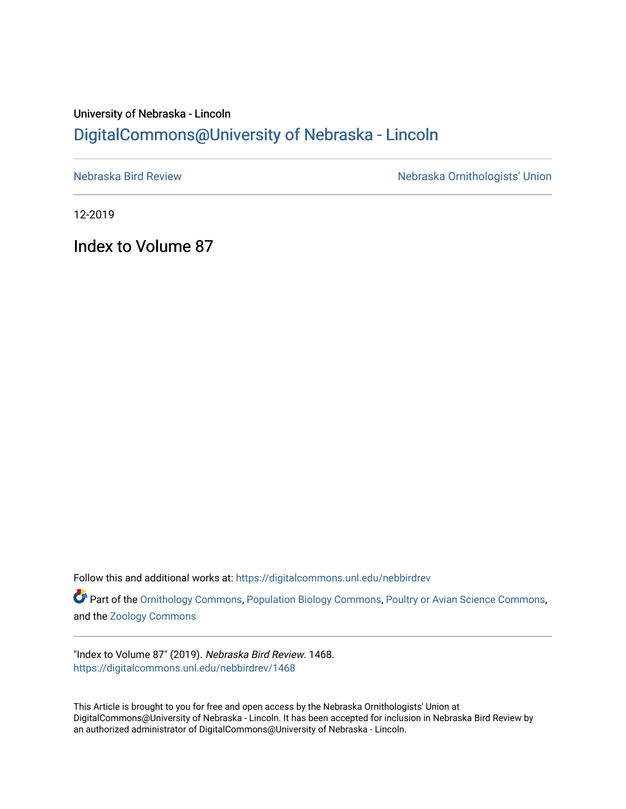# University of Nebraska - Lincoln [DigitalCommons@University of Nebraska - Lincoln](https://digitalcommons.unl.edu/)

[Nebraska Bird Review](https://digitalcommons.unl.edu/nebbirdrev) [Nebraska Ornithologists' Union](https://digitalcommons.unl.edu/nebornithologists) 

12-2019

Index to Volume 87

Follow this and additional works at: [https://digitalcommons.unl.edu/nebbirdrev](https://digitalcommons.unl.edu/nebbirdrev?utm_source=digitalcommons.unl.edu%2Fnebbirdrev%2F1468&utm_medium=PDF&utm_campaign=PDFCoverPages)

Part of the [Ornithology Commons,](http://network.bepress.com/hgg/discipline/1190?utm_source=digitalcommons.unl.edu%2Fnebbirdrev%2F1468&utm_medium=PDF&utm_campaign=PDFCoverPages) [Population Biology Commons](http://network.bepress.com/hgg/discipline/19?utm_source=digitalcommons.unl.edu%2Fnebbirdrev%2F1468&utm_medium=PDF&utm_campaign=PDFCoverPages), [Poultry or Avian Science Commons,](http://network.bepress.com/hgg/discipline/80?utm_source=digitalcommons.unl.edu%2Fnebbirdrev%2F1468&utm_medium=PDF&utm_campaign=PDFCoverPages) and the [Zoology Commons](http://network.bepress.com/hgg/discipline/81?utm_source=digitalcommons.unl.edu%2Fnebbirdrev%2F1468&utm_medium=PDF&utm_campaign=PDFCoverPages) 

"Index to Volume 87" (2019). Nebraska Bird Review. 1468. [https://digitalcommons.unl.edu/nebbirdrev/1468](https://digitalcommons.unl.edu/nebbirdrev/1468?utm_source=digitalcommons.unl.edu%2Fnebbirdrev%2F1468&utm_medium=PDF&utm_campaign=PDFCoverPages)

This Article is brought to you for free and open access by the Nebraska Ornithologists' Union at DigitalCommons@University of Nebraska - Lincoln. It has been accepted for inclusion in Nebraska Bird Review by an authorized administrator of DigitalCommons@University of Nebraska - Lincoln.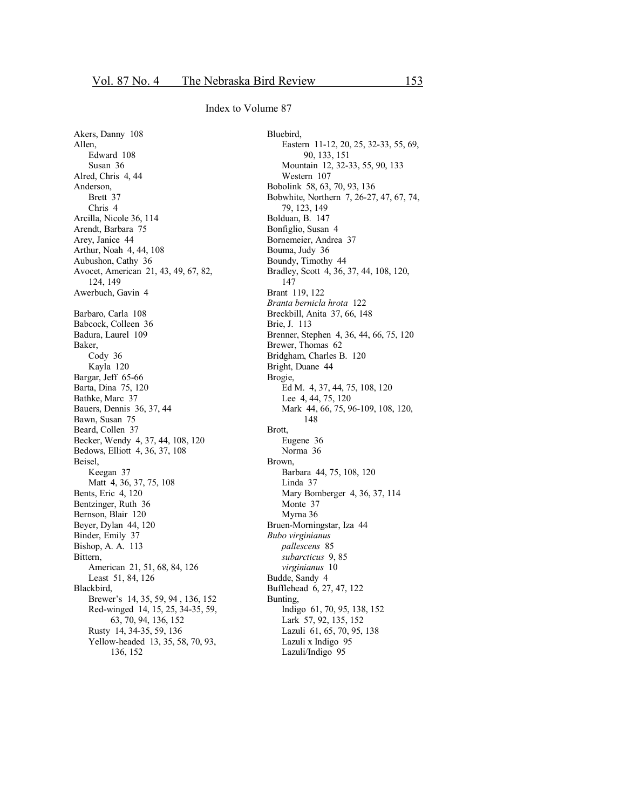Akers, Danny 108 Allen, Edward 108 Susan 36 Alred, Chris 4, 44 Anderson, Brett 37 Chris 4 Arcilla, Nicole 36, 114 Arendt, Barbara 75 Arey, Janice 44 Arthur, Noah 4, 44, 108 Aubushon, Cathy 36 Avocet, American 21, 43, 49, 67, 82, 124, 149 Awerbuch, Gavin 4 Barbaro, Carla 108 Babcock, Colleen 36 Badura, Laurel 109 Baker, Cody 36 Kayla 120 Bargar, Jeff 65-66 Barta, Dina 75, 120 Bathke, Marc 37 Bauers, Dennis 36, 37, 44 Bawn, Susan 75 Beard, Collen 37 Becker, Wendy 4, 37, 44, 108, 120 Bedows, Elliott 4, 36, 37, 108 Beisel, Keegan 37 Matt 4, 36, 37, 75, 108 Bents, Eric 4, 120 Bentzinger, Ruth 36 Bernson, Blair 120 Beyer, Dylan 44, 120 Binder, Emily 37 Bishop, A. A. 113 Bittern, American 21, 51, 68, 84, 126 Least 51, 84, 126 Blackbird, Brewer's 14, 35, 59, 94 , 136, 152 Red-winged 14, 15, 25, 34-35, 59, 63, 70, 94, 136, 152 Rusty 14, 34-35, 59, 136 Yellow-headed 13, 35, 58, 70, 93, 136, 152

Bluebird, Eastern 11-12, 20, 25, 32-33, 55, 69, 90, 133, 151 Mountain 12, 32-33, 55, 90, 133 Western 107 Bobolink 58, 63, 70, 93, 136 Bobwhite, Northern 7, 26-27, 47, 67, 74, 79, 123, 149 Bolduan, B. 147 Bonfiglio, Susan 4 Bornemeier, Andrea 37 Bouma, Judy 36 Boundy, Timothy 44 Bradley, Scott 4, 36, 37, 44, 108, 120, 147 Brant 119, 122 *Branta bernicla hrota* 122 Breckbill, Anita 37, 66, 148 Brie, J. 113 Brenner, Stephen 4, 36, 44, 66, 75, 120 Brewer, Thomas 62 Bridgham, Charles B. 120 Bright, Duane 44 Brogie, Ed M. 4, 37, 44, 75, 108, 120 Lee 4, 44, 75, 120 Mark 44, 66, 75, 96-109, 108, 120, 148 Brott, Eugene 36 Norma 36 Brown, Barbara 44, 75, 108, 120 Linda 37 Mary Bomberger 4, 36, 37, 114 Monte 37 Myrna 36 Bruen-Morningstar, Iza 44 *Bubo virginianus pallescens* 85 *subarcticus* 9, 85 *virginianus* 10 Budde, Sandy 4 Bufflehead 6, 27, 47, 122 Bunting, Indigo 61, 70, 95, 138, 152 Lark 57, 92, 135, 152 Lazuli 61, 65, 70, 95, 138 Lazuli x Indigo 95 Lazuli/Indigo 95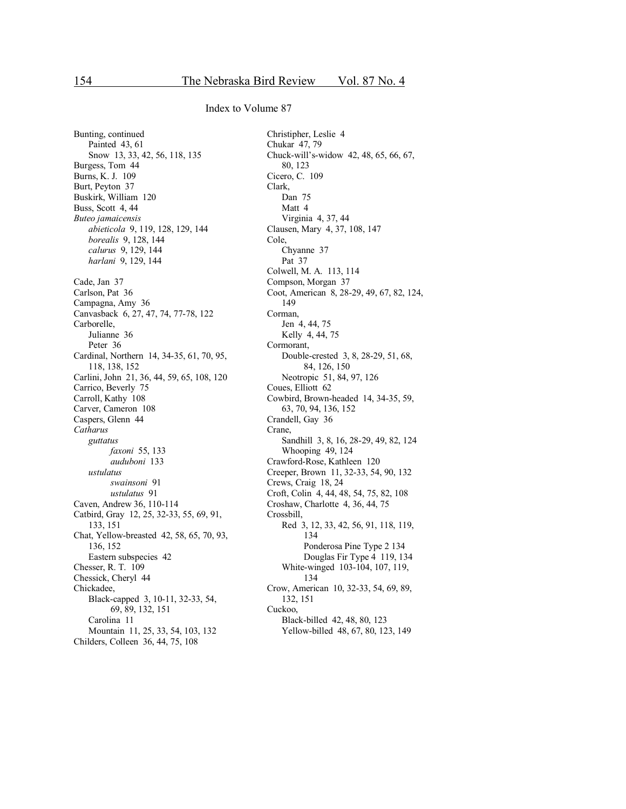Bunting, continued Painted 43, 61 Snow 13, 33, 42, 56, 118, 135 Burgess, Tom 44 Burns, K. J. 109 Burt, Peyton 37 Buskirk, William 120 Buss, Scott 4, 44 Buteo jamaicensis abieticola 9, 119, 128, 129, 144 borealis 9, 128, 144 calurus 9, 129, 144 harlani 9, 129, 144 Cade, Jan 37 Carlson, Pat 36 Campagna, Amy 36 Canvasback 6, 27, 47, 74, 77-78, 122 Carborelle, Julianne 36 Peter 36 Cardinal, Northern 14, 34-35, 61, 70, 95, 118, 138, 152 Carlini, John 21, 36, 44, 59, 65, 108, 120 Carrico, Beverly 75 Carroll, Kathy 108 Carver, Cameron 108 Caspers, Glenn 44 Catharus guttatus faxoni 55, 133 auduboni 133 ustulatus swainsoni 91 ustulatus 91 Caven, Andrew 36, 110-114 Catbird, Gray 12, 25, 32-33, 55, 69, 91, 133, 151 Chat, Yellow-breasted 42, 58, 65, 70, 93, 136, 152 Eastern subspecies 42 Chesser, R. T. 109 Chessick, Cheryl 44 Chickadee, Black-capped 3, 10-11, 32-33, 54, 69, 89, 132, 151 Carolina 11 Mountain 11, 25, 33, 54, 103, 132 Childers, Colleen 36, 44, 75, 108

Christipher, Leslie 4 Chukar 47, 79 Chuck-will's-widow 42, 48, 65, 66, 67, 80, 123 Cicero, C. 109 Clark, Dan 75 Matt 4 Virginia 4, 37, 44 Clausen, Mary 4, 37, 108, 147 Cole. Chyanne 37 Pat 37 Colwell, M. A. 113, 114 Compson, Morgan 37 Coot, American 8, 28-29, 49, 67, 82, 124, 149 Corman. Jen 4, 44, 75 Kelly 4, 44, 75 Cormorant, Double-crested 3, 8, 28-29, 51, 68, 84, 126, 150 Neotropic 51, 84, 97, 126 Coues, Elliott 62 Cowbird, Brown-headed 14, 34-35, 59, 63, 70, 94, 136, 152 Crandell, Gay 36 Crane, Sandhill 3, 8, 16, 28-29, 49, 82, 124 Whooping 49, 124 Crawford-Rose, Kathleen 120 Creeper, Brown 11, 32-33, 54, 90, 132 Crews, Craig 18, 24 Croft, Colin 4, 44, 48, 54, 75, 82, 108 Croshaw, Charlotte 4, 36, 44, 75 Crossbill. Red 3, 12, 33, 42, 56, 91, 118, 119, 134 Ponderosa Pine Type 2 134 Douglas Fir Type 4 119, 134 White-winged 103-104, 107, 119, 134 Crow, American 10, 32-33, 54, 69, 89, 132, 151 Cuckoo. Black-billed 42, 48, 80, 123 Yellow-billed 48, 67, 80, 123, 149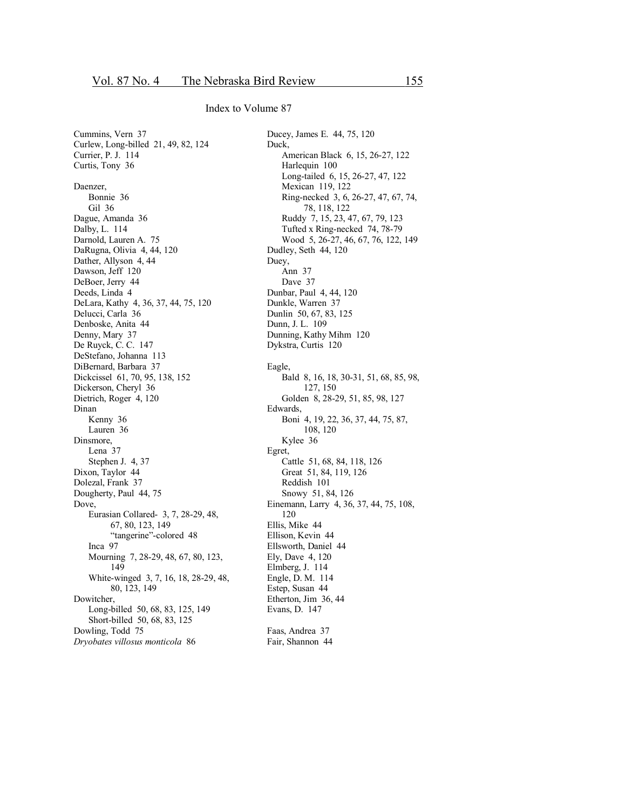Cummins, Vern 37 Curlew, Long-billed 21, 49, 82, 124 Currier, P. J. 114 Curtis, Tony 36 Daenzer, Bonnie 36 Gil 36 Dague, Amanda 36 Dalby, L. 114 Darnold, Lauren A. 75 DaRugna, Olivia 4, 44, 120 Dather, Allyson 4, 44 Dawson, Jeff 120 DeBoer, Jerry 44 Deeds, Linda 4 DeLara, Kathy 4, 36, 37, 44, 75, 120 Delucci, Carla 36 Denboske, Anita 44 Denny, Mary 37 De Ruyck, C. C. 147 DeStefano, Johanna 113 DiBernard, Barbara 37 Dickcissel 61, 70, 95, 138, 152 Dickerson, Cheryl 36 Dietrich, Roger 4, 120 Dinan Kenny 36 Lauren 36 Dinsmore, Lena 37 Stephen J. 4, 37 Dixon, Taylor 44 Dolezal, Frank 37 Dougherty, Paul 44, 75 Dove, Eurasian Collared- 3, 7, 28-29, 48, 67, 80, 123, 149 "tangerine"-colored 48 Inca 97 Mourning 7, 28-29, 48, 67, 80, 123, 149 White-winged 3, 7, 16, 18, 28-29, 48, 80, 123, 149 Dowitcher, Long-billed 50, 68, 83, 125, 149 Short-billed 50, 68, 83, 125 Dowling, Todd 75 *Dryobates villosus monticola* 86

Ducey, James E. 44, 75, 120 Duck, American Black 6, 15, 26-27, 122 Harlequin 100 Long-tailed 6, 15, 26-27, 47, 122 Mexican 119, 122 Ring-necked 3, 6, 26-27, 47, 67, 74, 78, 118, 122 Ruddy 7, 15, 23, 47, 67, 79, 123 Tufted x Ring-necked 74, 78-79 Wood 5, 26-27, 46, 67, 76, 122, 149 Dudley, Seth 44, 120 Duey, Ann 37 Dave 37 Dunbar, Paul 4, 44, 120 Dunkle, Warren 37 Dunlin 50, 67, 83, 125 Dunn, J. L. 109 Dunning, Kathy Mihm 120 Dykstra, Curtis 120 Eagle, Bald 8, 16, 18, 30-31, 51, 68, 85, 98, 127, 150 Golden 8, 28-29, 51, 85, 98, 127 Edwards, Boni 4, 19, 22, 36, 37, 44, 75, 87, 108, 120 Kylee 36 Egret, Cattle 51, 68, 84, 118, 126 Great 51, 84, 119, 126 Reddish 101 Snowy 51, 84, 126 Einemann, Larry 4, 36, 37, 44, 75, 108, 120 Ellis, Mike 44 Ellison, Kevin 44 Ellsworth, Daniel 44 Ely, Dave 4, 120 Elmberg, J. 114 Engle, D. M. 114 Estep, Susan 44 Etherton, Jim 36, 44 Evans, D. 147 Faas, Andrea 37

Fair, Shannon 44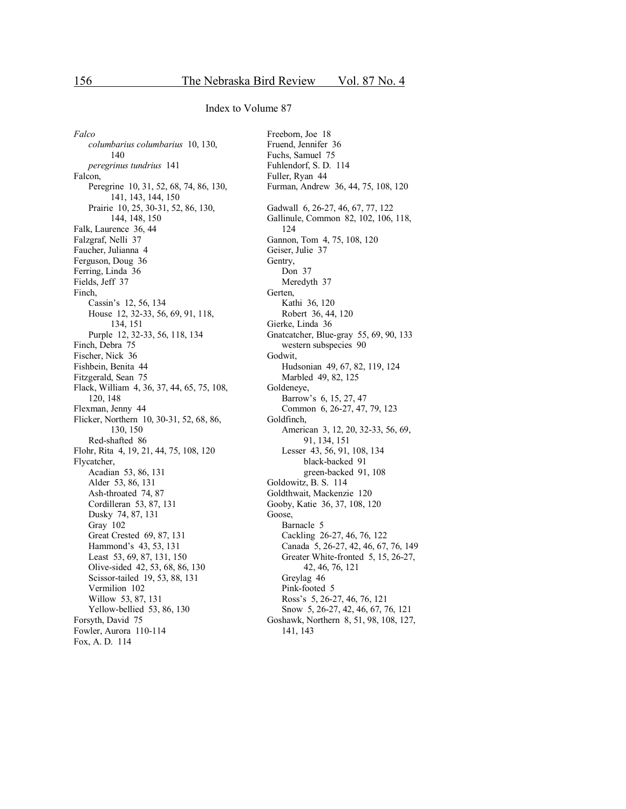*Falco columbarius columbarius* 10, 130, 140 *peregrinus tundrius* 141 Falcon, Peregrine 10, 31, 52, 68, 74, 86, 130, 141, 143, 144, 150 Prairie 10, 25, 30-31, 52, 86, 130, 144, 148, 150 Falk, Laurence 36, 44 Falzgraf, Nelli 37 Faucher, Julianna 4 Ferguson, Doug 36 Ferring, Linda 36 Fields, Jeff 37 Finch, Cassin's 12, 56, 134 House 12, 32-33, 56, 69, 91, 118, 134, 151 Purple 12, 32-33, 56, 118, 134 Finch, Debra 75 Fischer, Nick 36 Fishbein, Benita 44 Fitzgerald, Sean 75 Flack, William 4, 36, 37, 44, 65, 75, 108, 120, 148 Flexman, Jenny 44 Flicker, Northern 10, 30-31, 52, 68, 86, 130, 150 Red-shafted 86 Flohr, Rita 4, 19, 21, 44, 75, 108, 120 Flycatcher, Acadian 53, 86, 131 Alder 53, 86, 131 Ash-throated 74, 87 Cordilleran 53, 87, 131 Dusky 74, 87, 131 Gray 102 Great Crested 69, 87, 131 Hammond's 43, 53, 131 Least 53, 69, 87, 131, 150 Olive-sided 42, 53, 68, 86, 130 Scissor-tailed 19, 53, 88, 131 Vermilion 102 Willow 53, 87, 131 Yellow-bellied 53, 86, 130 Forsyth, David 75 Fowler, Aurora 110-114 Fox, A. D. 114

Freeborn, Joe 18 Fruend, Jennifer 36 Fuchs, Samuel 75 Fuhlendorf, S. D. 114 Fuller, Ryan 44 Furman, Andrew 36, 44, 75, 108, 120 Gadwall 6, 26-27, 46, 67, 77, 122 Gallinule, Common 82, 102, 106, 118, 124 Gannon, Tom 4, 75, 108, 120 Geiser, Julie 37 Gentry, Don 37 Meredyth 37 Gerten, Kathi 36, 120 Robert 36, 44, 120 Gierke, Linda 36 Gnatcatcher, Blue-gray 55, 69, 90, 133 western subspecies 90 Godwit, Hudsonian 49, 67, 82, 119, 124 Marbled 49, 82, 125 Goldeneye, Barrow's 6, 15, 27, 47 Common 6, 26-27, 47, 79, 123 Goldfinch, American 3, 12, 20, 32-33, 56, 69, 91, 134, 151 Lesser 43, 56, 91, 108, 134 black-backed 91 green-backed 91, 108 Goldowitz, B. S. 114 Goldthwait, Mackenzie 120 Gooby, Katie 36, 37, 108, 120 Goose, Barnacle 5 Cackling 26-27, 46, 76, 122 Canada 5, 26-27, 42, 46, 67, 76, 149 Greater White-fronted 5, 15, 26-27, 42, 46, 76, 121 Greylag 46 Pink-footed 5 Ross's 5, 26-27, 46, 76, 121 Snow 5, 26-27, 42, 46, 67, 76, 121 Goshawk, Northern 8, 51, 98, 108, 127, 141, 143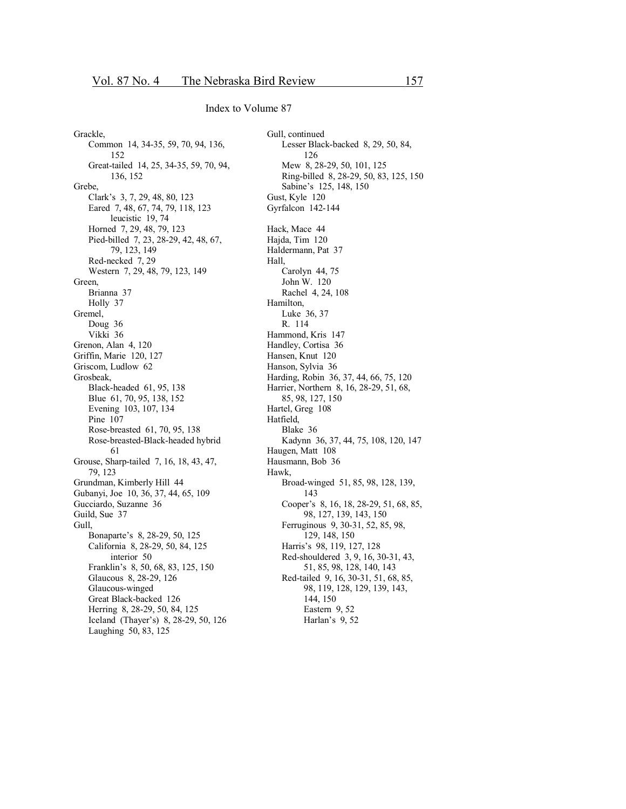Grackle, Common 14, 34-35, 59, 70, 94, 136, 152 Great-tailed 14, 25, 34-35, 59, 70, 94, 136, 152 Grebe, Clark's 3, 7, 29, 48, 80, 123 Eared 7, 48, 67, 74, 79, 118, 123 leucistic 19, 74 Horned 7, 29, 48, 79, 123 Pied-billed 7, 23, 28-29, 42, 48, 67, 79, 123, 149 Red-necked 7, 29 Western 7, 29, 48, 79, 123, 149 Green, Brianna 37 Holly 37 Gremel, Doug 36 Vikki 36 Grenon, Alan 4, 120 Griffin, Marie 120, 127 Griscom, Ludlow 62 Grosbeak, Black-headed 61, 95, 138 Blue 61, 70, 95, 138, 152 Evening 103, 107, 134 Pine 107 Rose-breasted 61, 70, 95, 138 Rose-breasted-Black-headed hybrid 61 Grouse, Sharp-tailed 7, 16, 18, 43, 47, 79, 123 Grundman, Kimberly Hill 44 Gubanyi, Joe 10, 36, 37, 44, 65, 109 Gucciardo, Suzanne 36 Guild, Sue 37 Gull, Bonaparte's 8, 28-29, 50, 125 California 8, 28-29, 50, 84, 125 interior 50 Franklin's 8, 50, 68, 83, 125, 150 Glaucous 8, 28-29, 126 Glaucous-winged Great Black-backed 126 Herring 8, 28-29, 50, 84, 125 Iceland (Thayer's) 8, 28-29, 50, 126 Laughing 50, 83, 125

Gull, continued Lesser Black-backed 8, 29, 50, 84, 126 Mew 8, 28-29, 50, 101, 125 Ring-billed 8, 28-29, 50, 83, 125, 150 Sabine's 125, 148, 150 Gust, Kyle 120 Gyrfalcon 142-144 Hack, Mace 44 Hajda, Tim 120 Haldermann, Pat 37 Hall, Carolyn 44, 75 John W. 120 Rachel 4, 24, 108 Hamilton, Luke 36, 37 R. 114 Hammond, Kris 147 Handley, Cortisa 36 Hansen, Knut 120 Hanson, Sylvia 36 Harding, Robin 36, 37, 44, 66, 75, 120 Harrier, Northern 8, 16, 28-29, 51, 68, 85, 98, 127, 150 Hartel, Greg 108 Hatfield, Blake 36 Kadynn 36, 37, 44, 75, 108, 120, 147 Haugen, Matt 108 Hausmann, Bob 36 Hawk, Broad-winged 51, 85, 98, 128, 139, 143 Cooper's 8, 16, 18, 28-29, 51, 68, 85, 98, 127, 139, 143, 150 Ferruginous 9, 30-31, 52, 85, 98, 129, 148, 150 Harris's 98, 119, 127, 128 Red-shouldered 3, 9, 16, 30-31, 43, 51, 85, 98, 128, 140, 143 Red-tailed 9, 16, 30-31, 51, 68, 85, 98, 119, 128, 129, 139, 143, 144, 150 Eastern 9, 52 Harlan's 9, 52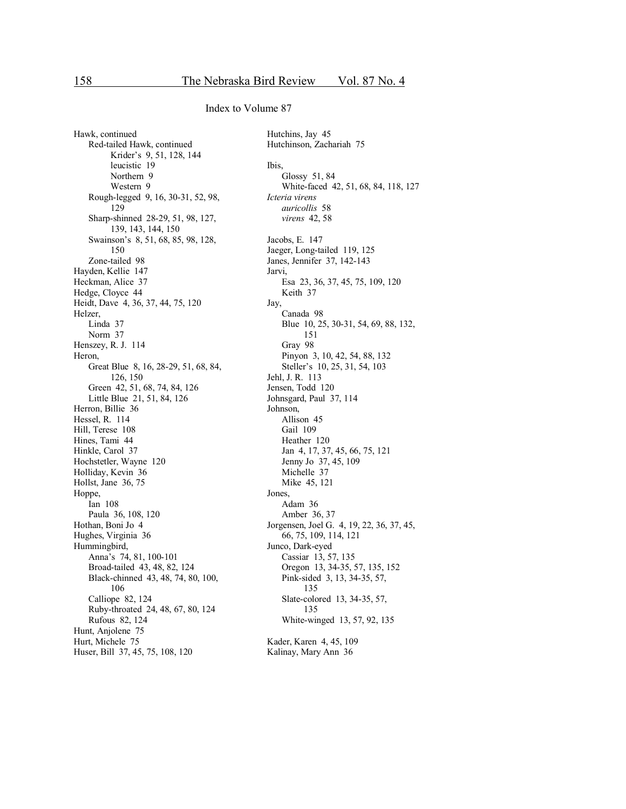Hawk, continued Red-tailed Hawk, continued Krider's 9, 51, 128, 144 leucistic 19 Northern 9 Western 9 Rough-legged 9, 16, 30-31, 52, 98, 129 Sharp-shinned 28-29, 51, 98, 127, 139, 143, 144, 150 Swainson's 8, 51, 68, 85, 98, 128, 150 Zone-tailed 98 Hayden, Kellie 147 Heckman, Alice 37 Hedge, Cloyce 44 Heidt, Dave 4, 36, 37, 44, 75, 120 Helzer, Linda 37 Norm 37 Henszey, R. J. 114 Heron. Great Blue 8, 16, 28-29, 51, 68, 84, 126, 150 Green 42, 51, 68, 74, 84, 126 Little Blue 21, 51, 84, 126 Herron, Billie 36 Hessel, R. 114 Hill, Terese 108 Hines, Tami 44 Hinkle, Carol 37 Hochstetler, Wayne 120 Holliday, Kevin 36 Hollst, Jane 36, 75 Hoppe, Ian 108 Paula 36, 108, 120 Hothan, Boni Jo 4 Hughes, Virginia 36 Hummingbird, Anna's 74, 81, 100-101 Broad-tailed 43, 48, 82, 124 Black-chinned 43, 48, 74, 80, 100, 106 Calliope 82, 124 Ruby-throated 24, 48, 67, 80, 124 Rufous 82, 124 Hunt, Anjolene 75 Hurt, Michele 75 Huser, Bill 37, 45, 75, 108, 120

Hutchins, Jay 45 Hutchinson, Zachariah 75 Ibis, Glossy 51, 84 White-faced 42, 51, 68, 84, 118, 127 *Icteria virens auricollis* 58 *virens* 42, 58 Jacobs, E. 147 Jaeger, Long-tailed 119, 125 Janes, Jennifer 37, 142-143 Jarvi, Esa 23, 36, 37, 45, 75, 109, 120 Keith 37 Jay, Canada 98 Blue 10, 25, 30-31, 54, 69, 88, 132, 151 Gray 98 Pinyon 3, 10, 42, 54, 88, 132 Steller's 10, 25, 31, 54, 103 Jehl, J. R. 113 Jensen, Todd 120 Johnsgard, Paul 37, 114 Johnson, Allison 45 Gail 109 Heather 120 Jan 4, 17, 37, 45, 66, 75, 121 Jenny Jo 37, 45, 109 Michelle 37 Mike 45, 121 Jones, Adam 36 Amber 36, 37 Jorgensen, Joel G. 4, 19, 22, 36, 37, 45, 66, 75, 109, 114, 121 Junco, Dark-eyed Cassiar 13, 57, 135 Oregon 13, 34-35, 57, 135, 152 Pink-sided 3, 13, 34-35, 57, 135 Slate-colored 13, 34-35, 57, 135 White-winged 13, 57, 92, 135 Kader, Karen 4, 45, 109 Kalinay, Mary Ann 36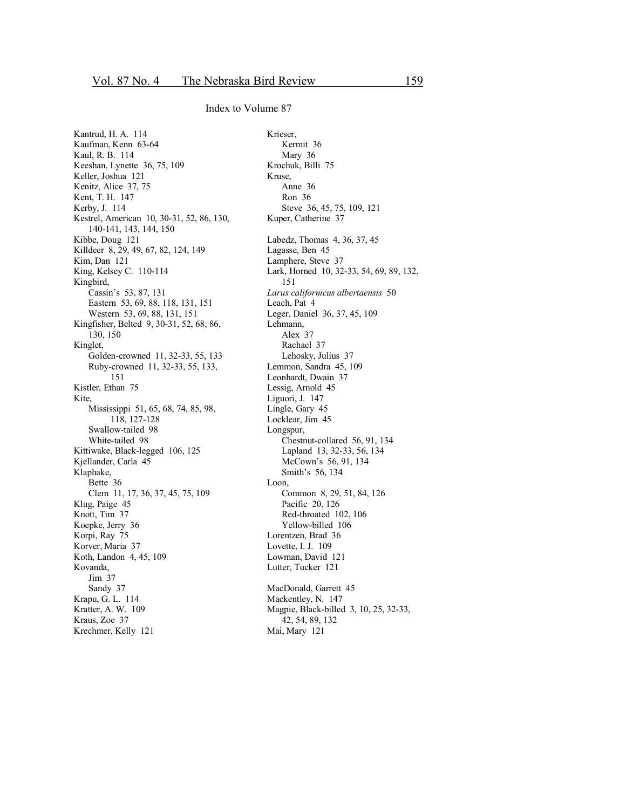Kantrud, H. A. 114 Kaufman, Kenn 63-64 Kaul, R. B. 114 Keeshan, Lynette 36, 75, 109 Keller, Joshua 121 Kenitz, Alice 37, 75 Kent, T. H. 147 Kerby, J. 114 Kestrel, American 10, 30-31, 52, 86, 130, 140-141, 143, 144, 150 Kibbe, Doug 121 Killdeer 8, 29, 49, 67, 82, 124, 149 Kim, Dan 121 King, Kelsey C. 110-114 Kingbird, Cassin's 53, 87, 131 Eastern 53, 69, 88, 118, 131, 151 Western 53, 69, 88, 131, 151 Kingfisher, Belted 9, 30-31, 52, 68, 86, 130, 150 Kinglet, Golden-crowned 11, 32-33, 55, 133 Ruby-crowned 11, 32-33, 55, 133, 151 Kistler, Ethan 75 Kite, Mississippi 51, 65, 68, 74, 85, 98, 118, 127-128 Swallow-tailed 98 White-tailed 98 Kittiwake, Black-legged 106, 125 Kjellander, Carla 45 Klaphake, Bette 36 Clem 11, 17, 36, 37, 45, 75, 109 Klug, Paige 45 Knott, Tim 37 Koepke, Jerry 36 Korpi, Ray 75 Korver, Maria 37 Koth, Landon 4, 45, 109 Kovanda, Jim 37 Sandy 37 Krapu, G. L. 114 Kratter, A. W. 109 Kraus, Zoe 37 Krechmer, Kelly 121

Krieser, Kermit 36 Mary 36 Krochuk, Billi 75 Kruse, Anne 36 Ron 36 Steve 36, 45, 75, 109, 121 Kuper, Catherine 37 Labedz, Thomas 4, 36, 37, 45 Lagasse, Ben 45 Lamphere, Steve 37 Lark, Horned 10, 32-33, 54, 69, 89, 132, 151 *Larus californicus albertaensis* 50 Leach, Pat 4 Leger, Daniel 36, 37, 45, 109 Lehmann, Alex 37 Rachael 37 Lehosky, Julius 37 Lemmon, Sandra 45, 109 Leonhardt, Dwain 37 Lessig, Arnold 45 Liguori, J. 147 Lingle, Gary 45 Locklear, Jim 45 Longspur, Chestnut-collared 56, 91, 134 Lapland 13, 32-33, 56, 134 McCown's 56, 91, 134 Smith's 56, 134 Loon, Common 8, 29, 51, 84, 126 Pacific 20, 126 Red-throated 102, 106 Yellow-billed 106 Lorentzen, Brad 36 Lovette, I. J. 109 Lowman, David 121 Lutter, Tucker 121 MacDonald, Garrett 45 Mackentley, N. 147 Magpie, Black-billed 3, 10, 25, 32-33, 42, 54, 89, 132 Mai, Mary 121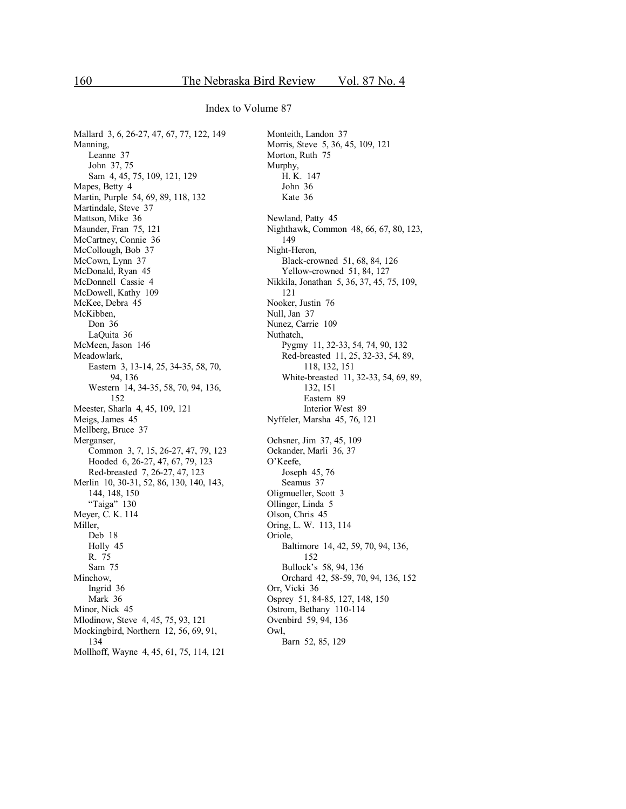Mallard 3, 6, 26-27, 47, 67, 77, 122, 149 Manning, Leanne 37 John 37, 75 Sam 4, 45, 75, 109, 121, 129 Mapes, Betty 4 Martin, Purple 54, 69, 89, 118, 132 Martindale, Steve 37 Mattson, Mike 36 Maunder, Fran 75, 121 McCartney, Connie 36 McCollough, Bob 37 McCown, Lynn 37 McDonald, Ryan 45 McDonnell Cassie 4 McDowell, Kathy 109 McKee, Debra 45 McKibben, Don 36 LaQuita 36 McMeen, Jason 146 Meadowlark, Eastern 3, 13-14, 25, 34-35, 58, 70, 94, 136 Western 14, 34-35, 58, 70, 94, 136, 152 Meester, Sharla 4, 45, 109, 121 Meigs, James 45 Mellberg, Bruce 37 Merganser, Common 3, 7, 15, 26-27, 47, 79, 123 Hooded 6, 26-27, 47, 67, 79, 123 Red-breasted 7, 26-27, 47, 123 Merlin 10, 30-31, 52, 86, 130, 140, 143, 144, 148, 150 "Taiga" 130 Meyer, C. K. 114 Miller, Deb 18 Holly 45 R. 75 Sam 75 Minchow, Ingrid 36 Mark 36 Minor, Nick 45 Mlodinow, Steve 4, 45, 75, 93, 121 Mockingbird, Northern 12, 56, 69, 91, 134 Mollhoff, Wayne 4, 45, 61, 75, 114, 121

Monteith, Landon 37 Morris, Steve 5, 36, 45, 109, 121 Morton, Ruth 75 Murphy, H. K. 147 John 36 Kate 36 Newland, Patty 45 Nighthawk, Common 48, 66, 67, 80, 123, 149 Night-Heron, Black-crowned 51, 68, 84, 126 Yellow-crowned 51, 84, 127 Nikkila, Jonathan 5, 36, 37, 45, 75, 109, 121 Nooker, Justin 76 Null, Jan 37 Nunez, Carrie 109 Nuthatch, Pygmy 11, 32-33, 54, 74, 90, 132 Red-breasted 11, 25, 32-33, 54, 89, 118, 132, 151 White-breasted 11, 32-33, 54, 69, 89, 132, 151 Eastern 89 Interior West 89 Nyffeler, Marsha 45, 76, 121 Ochsner, Jim 37, 45, 109 Ockander, Marli 36, 37 O'Keefe, Joseph 45, 76 Seamus 37 Oligmueller, Scott 3 Ollinger, Linda 5 Olson, Chris 45 Oring, L. W. 113, 114 Oriole, Baltimore 14, 42, 59, 70, 94, 136, 152 Bullock's 58, 94, 136 Orchard 42, 58-59, 70, 94, 136, 152 Orr, Vicki 36 Osprey 51, 84-85, 127, 148, 150 Ostrom, Bethany 110-114 Ovenbird 59, 94, 136 Owl, Barn 52, 85, 129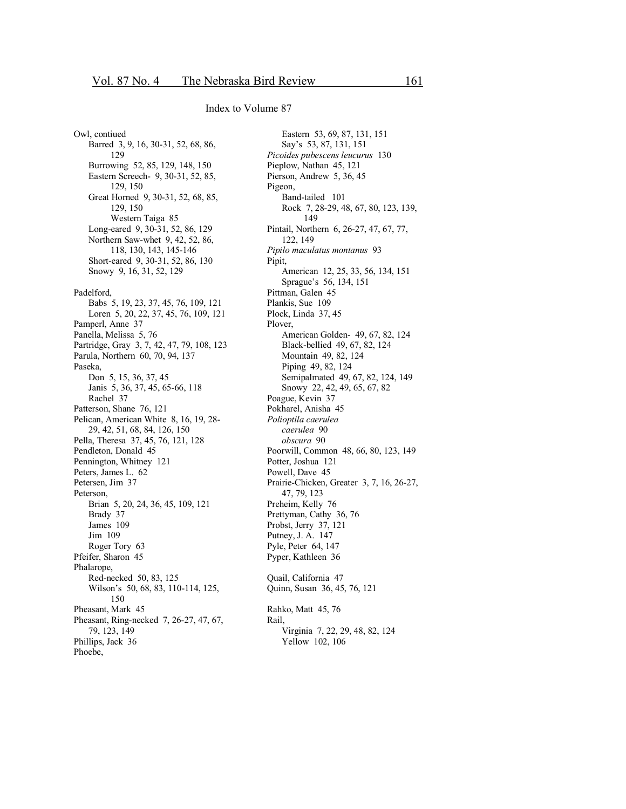Owl, contiued Barred 3, 9, 16, 30-31, 52, 68, 86, 129 Burrowing 52, 85, 129, 148, 150 Eastern Screech- 9, 30-31, 52, 85, 129, 150 Great Horned 9, 30-31, 52, 68, 85, 129, 150 Western Taiga 85 Long-eared 9, 30-31, 52, 86, 129 Northern Saw-whet 9, 42, 52, 86, 118, 130, 143, 145-146 Short-eared 9, 30-31, 52, 86, 130 Snowy 9, 16, 31, 52, 129 Padelford, Babs 5, 19, 23, 37, 45, 76, 109, 121 Loren 5, 20, 22, 37, 45, 76, 109, 121 Pamperl, Anne 37 Panella, Melissa 5, 76 Partridge, Gray 3, 7, 42, 47, 79, 108, 123 Parula, Northern 60, 70, 94, 137 Paseka, Don 5, 15, 36, 37, 45 Janis 5, 36, 37, 45, 65-66, 118 Rachel 37 Patterson, Shane 76, 121 Pelican, American White 8, 16, 19, 28-29, 42, 51, 68, 84, 126, 150 Pella, Theresa 37, 45, 76, 121, 128 Pendleton, Donald 45 Pennington, Whitney 121 Peters, James L. 62 Petersen, Jim 37 Peterson. Brian 5, 20, 24, 36, 45, 109, 121 Brady 37 James 109 Jim 109 Roger Tory 63 Pfeifer, Sharon 45 Phalarope, Red-necked 50, 83, 125 Wilson's 50, 68, 83, 110-114, 125, 150 Pheasant, Mark 45 Pheasant, Ring-necked 7, 26-27, 47, 67, 79, 123, 149 Phillips, Jack 36 Phoebe,

Eastern 53, 69, 87, 131, 151 Say's 53, 87, 131, 151 Picoides pubescens leucurus 130 Pieplow, Nathan 45, 121 Pierson, Andrew 5, 36, 45 Pigeon, Band-tailed 101 Rock 7, 28-29, 48, 67, 80, 123, 139, 149 Pintail, Northern 6, 26-27, 47, 67, 77, 122, 149 Pipilo maculatus montanus 93 Pipit, American 12, 25, 33, 56, 134, 151 Sprague's 56, 134, 151 Pittman, Galen 45 Plankis, Sue 109 Plock, Linda 37, 45 Plover, American Golden- 49, 67, 82, 124 Black-bellied 49, 67, 82, 124 Mountain 49, 82, 124 Piping 49, 82, 124 Semipalmated 49, 67, 82, 124, 149 Snowy 22, 42, 49, 65, 67, 82 Poague, Kevin 37 Pokharel, Anisha 45 Polioptila caerulea caerulea 90 obscura 90 Poorwill, Common 48, 66, 80, 123, 149 Potter, Joshua 121 Powell, Dave 45 Prairie-Chicken, Greater 3, 7, 16, 26-27, 47, 79, 123 Preheim, Kelly 76 Prettyman, Cathy 36, 76 Probst, Jerry 37, 121 Putney, J. A. 147 Pyle, Peter 64, 147 Pyper, Kathleen 36 Quail, California 47 Quinn, Susan 36, 45, 76, 121 Rahko, Matt 45, 76 Rail. Virginia 7, 22, 29, 48, 82, 124

Yellow 102, 106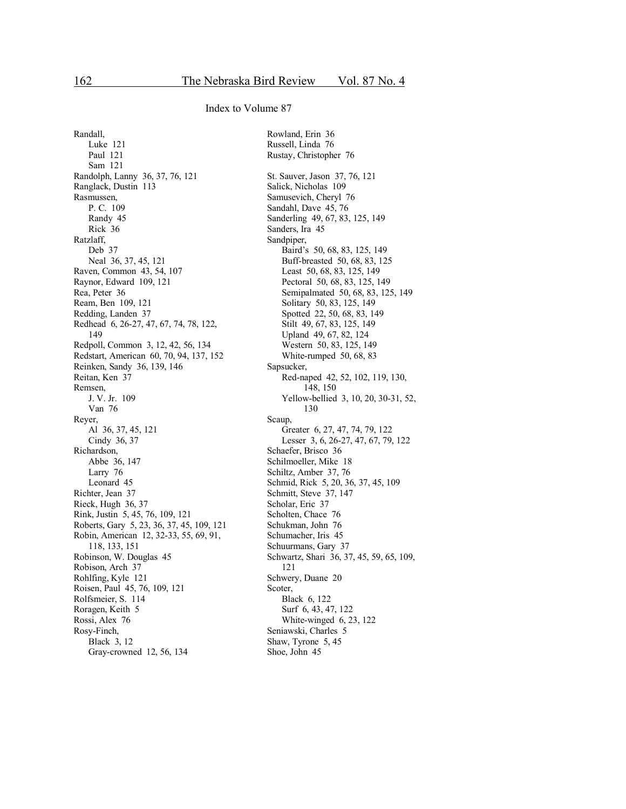Rowland, Erin 36

Index to Volume 87

Randall, Luke 121 Paul 121 Sam 121 Randolph, Lanny 36, 37, 76, 121 Ranglack, Dustin 113 Rasmussen, P. C. 109 Randy 45 Rick 36 Ratzlaff, Deb 37 Neal 36, 37, 45, 121 Raven, Common 43, 54, 107 Raynor, Edward 109, 121 Rea, Peter 36 Ream, Ben 109, 121 Redding, Landen 37 Redhead 6, 26-27, 47, 67, 74, 78, 122, 149 Redpoll, Common 3, 12, 42, 56, 134 Redstart, American 60, 70, 94, 137, 152 Reinken, Sandy 36, 139, 146 Reitan, Ken 37 Remsen, J. V. Jr. 109 Van 76 Reyer, Al 36, 37, 45, 121 Cindy 36, 37 Richardson, Abbe 36, 147 Larry 76 Leonard 45 Richter, Jean 37 Rieck, Hugh 36, 37 Rink, Justin 5, 45, 76, 109, 121 Roberts, Gary 5, 23, 36, 37, 45, 109, 121 Robin, American 12, 32-33, 55, 69, 91, 118, 133, 151 Robinson, W. Douglas 45 Robison, Arch 37 Rohlfing, Kyle 121 Roisen, Paul 45, 76, 109, 121 Rolfsmeier, S. 114 Roragen, Keith 5 Rossi, Alex 76 Rosy-Finch, Black 3, 12 Gray-crowned 12, 56, 134

Russell, Linda 76 Rustay, Christopher 76 St. Sauver, Jason 37, 76, 121 Salick, Nicholas 109 Samusevich, Cheryl 76 Sandahl, Dave 45, 76 Sanderling 49, 67, 83, 125, 149 Sanders, Ira 45 Sandpiper, Baird's 50, 68, 83, 125, 149 Buff-breasted 50, 68, 83, 125 Least 50, 68, 83, 125, 149 Pectoral 50, 68, 83, 125, 149 Semipalmated 50, 68, 83, 125, 149 Solitary 50, 83, 125, 149 Spotted 22, 50, 68, 83, 149 Stilt 49, 67, 83, 125, 149 Upland 49, 67, 82, 124 Western 50, 83, 125, 149 White-rumped 50, 68, 83 Sapsucker, Red-naped 42, 52, 102, 119, 130, 148, 150 Yellow-bellied 3, 10, 20, 30-31, 52, 130 Scaup, Greater 6, 27, 47, 74, 79, 122 Lesser 3, 6, 26-27, 47, 67, 79, 122 Schaefer, Brisco 36 Schilmoeller, Mike 18 Schiltz, Amber 37, 76 Schmid, Rick 5, 20, 36, 37, 45, 109 Schmitt, Steve 37, 147 Scholar, Eric 37 Scholten, Chace 76 Schukman, John 76 Schumacher, Iris 45 Schuurmans, Gary 37 Schwartz, Shari 36, 37, 45, 59, 65, 109, 121 Schwery, Duane 20 Scoter, Black 6, 122 Surf 6, 43, 47, 122 White-winged 6, 23, 122 Seniawski, Charles 5 Shaw, Tyrone 5, 45 Shoe, John 45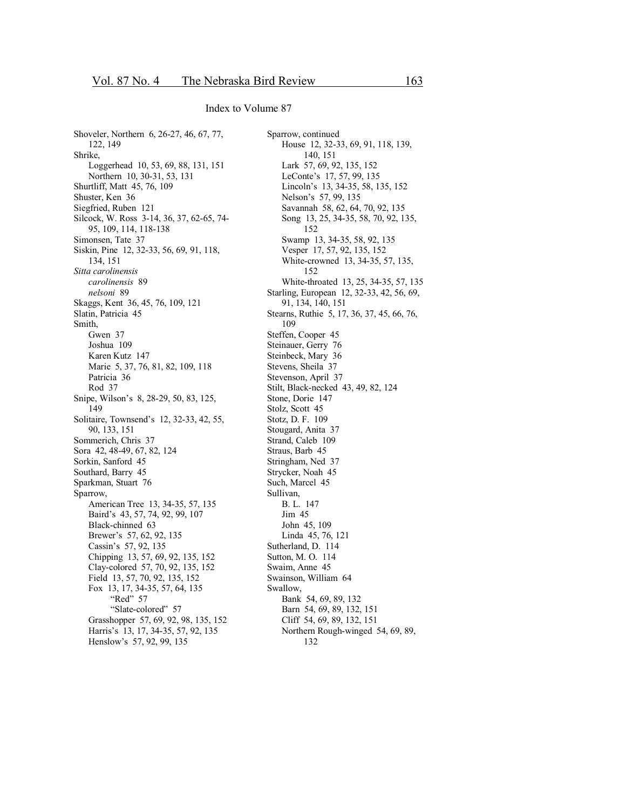Shoveler, Northern 6, 26-27, 46, 67, 77, 122, 149 Shrike, Loggerhead 10, 53, 69, 88, 131, 151 Northern 10, 30-31, 53, 131 Shurtliff, Matt 45, 76, 109 Shuster, Ken 36 Siegfried, Ruben 121 Silcock, W. Ross 3-14, 36, 37, 62-65, 74-95, 109, 114, 118-138 Simonsen, Tate 37 Siskin, Pine 12, 32-33, 56, 69, 91, 118, 134, 151 Sitta carolinensis carolinensis 89 nelsoni 89 Skaggs, Kent 36, 45, 76, 109, 121 Slatin, Patricia 45 Smith. Gwen 37 Joshua 109 Karen Kutz 147 Marie 5, 37, 76, 81, 82, 109, 118 Patricia 36 Rod 37 Snipe, Wilson's 8, 28-29, 50, 83, 125, 149 Solitaire, Townsend's 12, 32-33, 42, 55, 90, 133, 151 Sommerich, Chris 37 Sora 42, 48-49, 67, 82, 124 Sorkin, Sanford 45 Southard, Barry 45 Sparkman, Stuart 76 Sparrow, American Tree 13, 34-35, 57, 135 Baird's 43, 57, 74, 92, 99, 107 Black-chinned 63 Brewer's 57, 62, 92, 135 Cassin's 57, 92, 135 Chipping 13, 57, 69, 92, 135, 152 Clay-colored 57, 70, 92, 135, 152 Field 13, 57, 70, 92, 135, 152 Fox 13, 17, 34-35, 57, 64, 135 "Red" 57 "Slate-colored" 57 Grasshopper 57, 69, 92, 98, 135, 152 Harris's 13, 17, 34-35, 57, 92, 135 Henslow's 57, 92, 99, 135

Sparrow, continued House 12, 32-33, 69, 91, 118, 139, 140, 151 Lark 57, 69, 92, 135, 152 LeConte's 17, 57, 99, 135 Lincoln's 13, 34-35, 58, 135, 152 Nelson's 57, 99, 135 Savannah 58, 62, 64, 70, 92, 135 Song 13, 25, 34-35, 58, 70, 92, 135, 152 Swamp 13, 34-35, 58, 92, 135 Vesper 17, 57, 92, 135, 152 White-crowned 13, 34-35, 57, 135, 152 White-throated 13, 25, 34-35, 57, 135 Starling, European 12, 32-33, 42, 56, 69, 91, 134, 140, 151 Stearns, Ruthie 5, 17, 36, 37, 45, 66, 76, 109 Steffen, Cooper 45 Steinauer, Gerry 76 Steinbeck, Mary 36 Stevens, Sheila 37 Stevenson, April 37 Stilt, Black-necked 43, 49, 82, 124 Stone, Dorie 147 Stolz, Scott 45 Stotz, D. F. 109 Stougard, Anita 37 Strand, Caleb 109 Straus, Barb 45 Stringham, Ned 37 Strycker, Noah 45 Such, Marcel 45 Sullivan. B. L. 147 Jim 45 John 45, 109 Linda 45, 76, 121 Sutherland, D. 114 Sutton, M. O. 114 Swaim, Anne 45 Swainson, William 64 Swallow. Bank 54, 69, 89, 132 Barn 54, 69, 89, 132, 151 Cliff 54, 69, 89, 132, 151 Northern Rough-winged 54, 69, 89, 132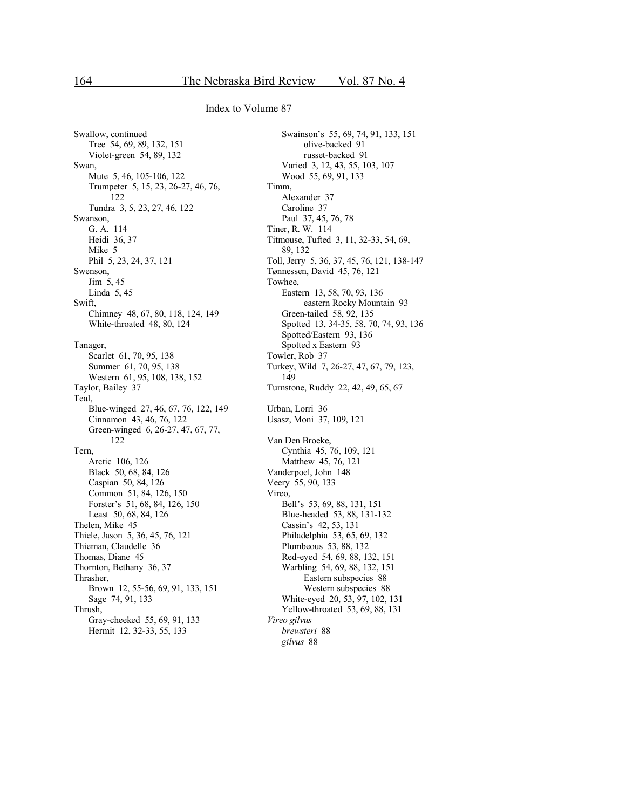Swallow, continued Tree 54, 69, 89, 132, 151 Violet-green 54, 89, 132 Swan, Mute 5, 46, 105-106, 122 Trumpeter 5, 15, 23, 26-27, 46, 76, 122 Tundra 3, 5, 23, 27, 46, 122 Swanson, G. A. 114 Heidi 36, 37 Mike 5 Phil 5, 23, 24, 37, 121 Swenson, Jim 5, 45 Linda 5, 45 Swift, Chimney 48, 67, 80, 118, 124, 149 White-throated 48, 80, 124 Tanager, Scarlet 61, 70, 95, 138 Summer 61, 70, 95, 138 Western 61, 95, 108, 138, 152 Taylor, Bailey 37 Teal, Blue-winged 27, 46, 67, 76, 122, 149 Cinnamon 43, 46, 76, 122 Green-winged 6, 26-27, 47, 67, 77, 122 Tern, Arctic 106, 126 Black 50, 68, 84, 126 Caspian 50, 84, 126 Common 51, 84, 126, 150 Forster's 51, 68, 84, 126, 150 Least 50, 68, 84, 126 Thelen, Mike 45 Thiele, Jason 5, 36, 45, 76, 121 Thieman, Claudelle 36 Thomas, Diane 45 Thornton, Bethany 36, 37 Thrasher, Brown 12, 55-56, 69, 91, 133, 151 Sage 74, 91, 133 Thrush, Gray-cheeked 55, 69, 91, 133 Hermit 12, 32-33, 55, 133

Swainson's 55, 69, 74, 91, 133, 151 olive-backed 91 russet-backed 91 Varied 3, 12, 43, 55, 103, 107 Wood 55, 69, 91, 133 Timm, Alexander 37 Caroline 37 Paul 37, 45, 76, 78 Tiner, R. W. 114 Titmouse, Tufted 3, 11, 32-33, 54, 69, 89, 132 Toll, Jerry 5, 36, 37, 45, 76, 121, 138-147 Tønnessen, David 45, 76, 121 Towhee, Eastern 13, 58, 70, 93, 136 eastern Rocky Mountain 93 Green-tailed 58, 92, 135 Spotted 13, 34-35, 58, 70, 74, 93, 136 Spotted/Eastern 93, 136 Spotted x Eastern 93 Towler, Rob 37 Turkey, Wild 7, 26-27, 47, 67, 79, 123, 149 Turnstone, Ruddy 22, 42, 49, 65, 67 Urban, Lorri 36 Usasz, Moni 37, 109, 121 Van Den Broeke, Cynthia 45, 76, 109, 121 Matthew 45, 76, 121 Vanderpoel, John 148 Veery 55, 90, 133 Vireo, Bell's 53, 69, 88, 131, 151 Blue-headed 53, 88, 131-132 Cassin's 42, 53, 131 Philadelphia 53, 65, 69, 132 Plumbeous 53, 88, 132 Red-eyed 54, 69, 88, 132, 151 Warbling 54, 69, 88, 132, 151 Eastern subspecies 88 Western subspecies 88 White-eyed 20, 53, 97, 102, 131 Yellow-throated 53, 69, 88, 131 *Vireo gilvus brewsteri* 88 *gilvus* 88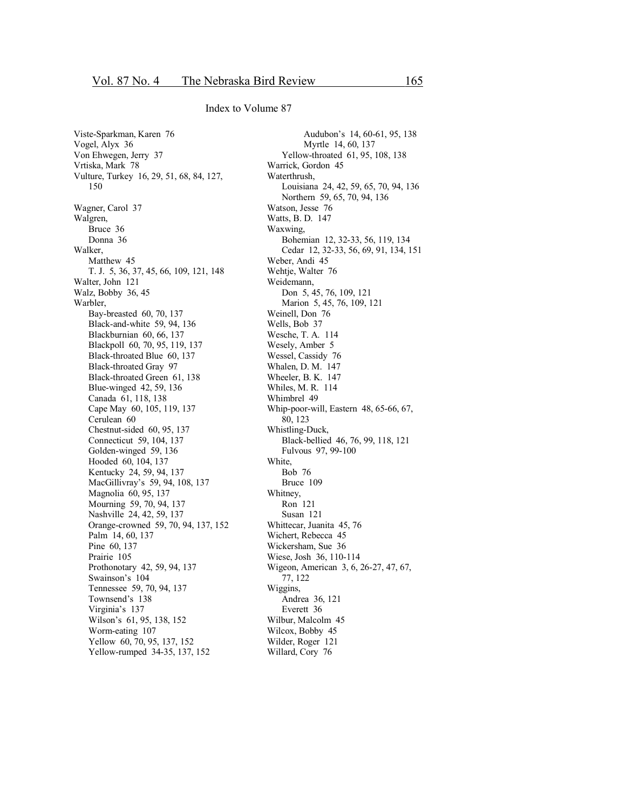Viste-Sparkman, Karen 76 Vogel, Alyx 36 Von Ehwegen, Jerry 37 Vrtiska, Mark 78 Vulture, Turkey 16, 29, 51, 68, 84, 127, 150 Wagner, Carol 37 Walgren, Bruce 36 Donna 36 Walker, Matthew 45 T. J. 5, 36, 37, 45, 66, 109, 121, 148 Walter, John 121 Walz, Bobby 36, 45 Warbler, Bay-breasted 60, 70, 137 Black-and-white 59, 94, 136 Blackburnian 60, 66, 137 Blackpoll 60, 70, 95, 119, 137 Black-throated Blue 60, 137 Black-throated Gray 97 Black-throated Green 61, 138 Blue-winged 42, 59, 136 Canada 61, 118, 138 Cape May 60, 105, 119, 137 Cerulean 60 Chestnut-sided 60, 95, 137 Connecticut 59, 104, 137 Golden-winged 59, 136 Hooded 60, 104, 137 Kentucky 24, 59, 94, 137 MacGillivray's 59, 94, 108, 137 Magnolia 60, 95, 137 Mourning 59, 70, 94, 137 Nashville 24, 42, 59, 137 Orange-crowned 59, 70, 94, 137, 152 Palm 14, 60, 137 Pine 60, 137 Prairie 105 Prothonotary 42, 59, 94, 137 Swainson's 104 Tennessee 59, 70, 94, 137 Townsend's 138 Virginia's 137 Wilson's 61, 95, 138, 152 Worm-eating 107 Yellow 60, 70, 95, 137, 152 Yellow-rumped 34-35, 137, 152

Audubon's 14, 60-61, 95, 138 Myrtle 14, 60, 137 Yellow-throated 61, 95, 108, 138 Warrick, Gordon 45 Waterthrush, Louisiana 24, 42, 59, 65, 70, 94, 136 Northern 59, 65, 70, 94, 136 Watson, Jesse 76 Watts, B. D. 147 Waxwing, Bohemian 12, 32-33, 56, 119, 134 Cedar 12, 32-33, 56, 69, 91, 134, 151 Weber, Andi 45 Wehtje, Walter 76 Weidemann, Don 5, 45, 76, 109, 121 Marion 5, 45, 76, 109, 121 Weinell, Don 76 Wells, Bob 37 Wesche, T. A. 114 Wesely, Amber 5 Wessel, Cassidy 76 Whalen, D. M. 147 Wheeler, B. K. 147 Whiles, M. R. 114 Whimbrel 49 Whip-poor-will, Eastern 48, 65-66, 67, 80, 123 Whistling-Duck, Black-bellied 46, 76, 99, 118, 121 Fulvous 97, 99-100 White, Bob 76 Bruce 109 Whitney, Ron 121 Susan 121 Whittecar, Juanita 45, 76 Wichert, Rebecca 45 Wickersham, Sue 36 Wiese, Josh 36, 110-114 Wigeon, American 3, 6, 26-27, 47, 67, 77, 122 Wiggins, Andrea 36, 121 Everett 36 Wilbur, Malcolm 45 Wilcox, Bobby 45 Wilder, Roger 121 Willard, Cory 76